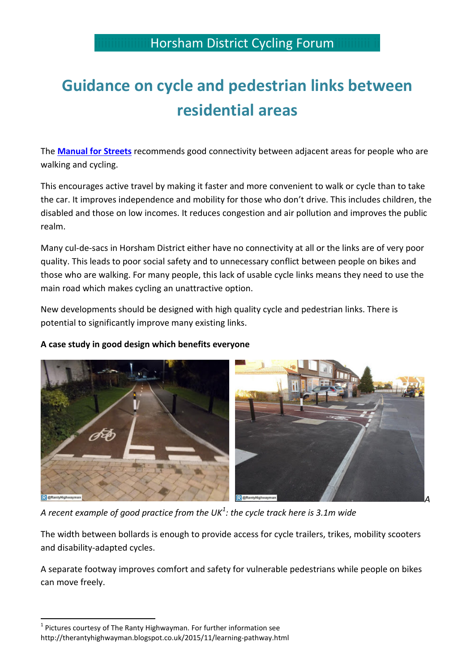## **Guidance on cycle and pedestrian links between residential areas**

The **[Manual for Streets](https://www.gov.uk/government/uploads/system/uploads/attachment_data/file/341513/pdfmanforstreets.pdf)** recommends good connectivity between adjacent areas for people who are walking and cycling.

This encourages active travel by making it faster and more convenient to walk or cycle than to take the car. It improves independence and mobility for those who don't drive. This includes children, the disabled and those on low incomes. It reduces congestion and air pollution and improves the public realm.

Many cul-de-sacs in Horsham District either have no connectivity at all or the links are of very poor quality. This leads to poor social safety and to unnecessary conflict between people on bikes and those who are walking. For many people, this lack of usable cycle links means they need to use the main road which makes cycling an unattractive option.

New developments should be designed with high quality cycle and pedestrian links. There is potential to significantly improve many existing links.



## **A case study in good design which benefits everyone**

*A recent example of good practice from the UK[1](#page-0-0) : the cycle track here is 3.1m wide* 

The width between bollards is enough to provide access for cycle trailers, trikes, mobility scooters and disability-adapted cycles.

A separate footway improves comfort and safety for vulnerable pedestrians while people on bikes can move freely.

<span id="page-0-0"></span> $1$  Pictures courtesy of The Ranty Highwayman. For further information see http://therantyhighwayman.blogspot.co.uk/2015/11/learning-pathway.html